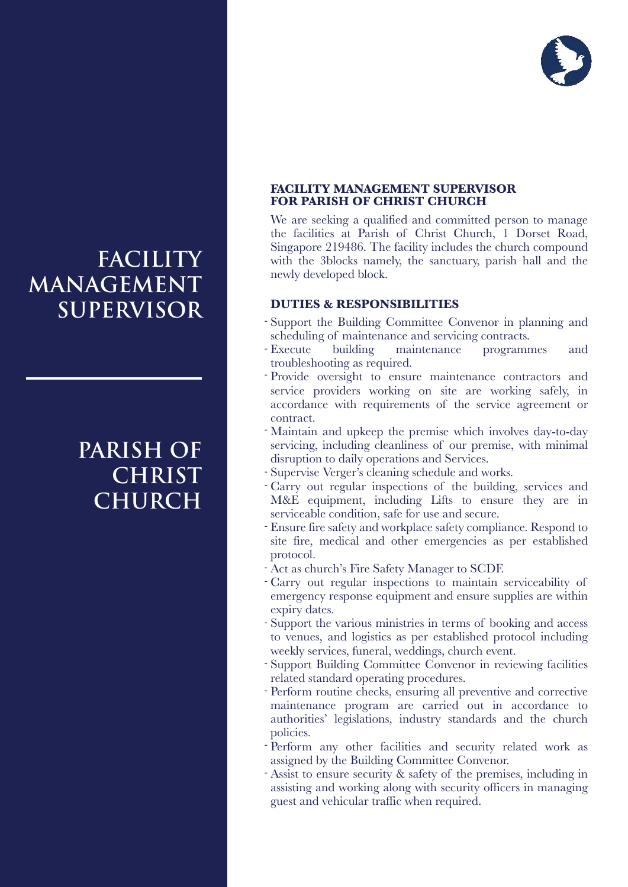

# **FACILITY MANAGEMENT SUPERVISOR**

# **PARISH OF CHRIST CHURCH**

#### **FACILITY MANAGEMENT SUPERVISOR FOR PARISH OF CHRIST CHURCH**

We are seeking a qualified and committed person to manage the facilities at Parish of Christ Church, 1 Dorset Road, Singapore 219486. The facility includes the church compound with the 3blocks namely, the sanctuary, parish hall and the newly developed block.

#### **DUTIES & RESPONSIBILITIES**

- Support the Building Committee Convenor in planning and scheduling of maintenance and servicing contracts.
- building maintenance programmes and troubleshooting as required. - Execute
- Provide oversight to ensure maintenance contractors and service providers working on site are working safely, in accordance with requirements of the service agreement or contract.
- Maintain and upkeep the premise which involves day-to-day servicing, including cleanliness of our premise, with minimal disruption to daily operations and Services.
- Supervise Verger's cleaning schedule and works.
- Carry out regular inspections of the building, services and M&E equipment, including Lifts to ensure they are in serviceable condition, safe for use and secure.
- Ensure fire safety and workplace safety compliance. Respond to site fire, medical and other emergencies as per established protocol.
- Act as church's Fire Safety Manager to SCDF. -
- Carry out regular inspections to maintain serviceability of emergency response equipment and ensure supplies are within expiry dates.
- Support the various ministries in terms of booking and access to venues, and logistics as per established protocol including weekly services, funeral, weddings, church event.
- Support Building Committee Convenor in reviewing facilities related standard operating procedures.
- Perform routine checks, ensuring all preventive and corrective maintenance program are carried out in accordance to authorities' legislations, industry standards and the church policies.
- Perform any other facilities and security related work as assigned by the Building Committee Convenor.
- Assist to ensure security & safety of the premises, including in assisting and working along with security officers in managing guest and vehicular traffic when required.